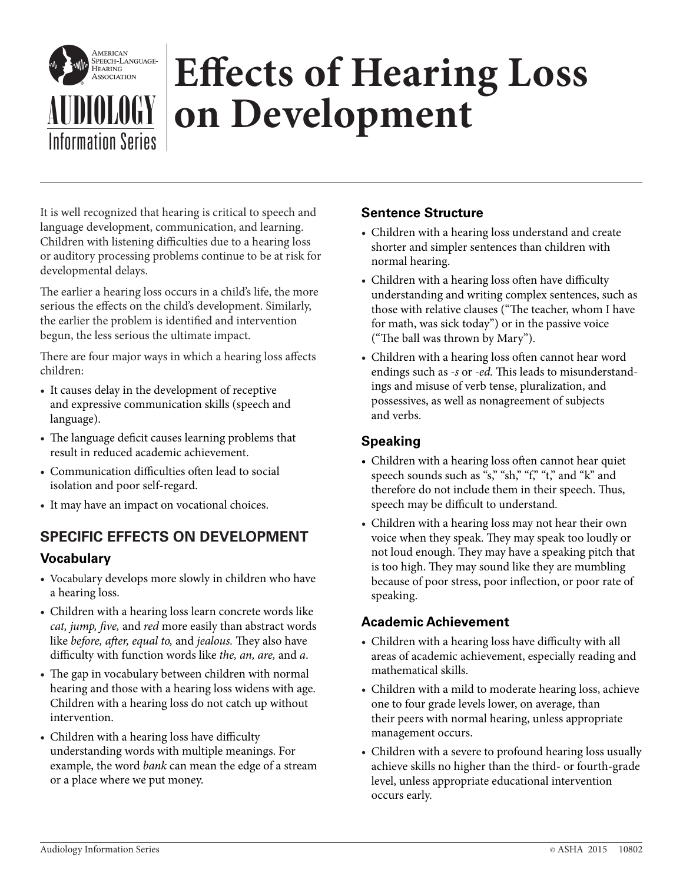

# **EFFECTS of Hearing Loss**<br> **AUDIOLOGY on Development**

It is well recognized that hearing is critical to speech and language development, communication, and learning. Children with listening difficulties due to a hearing loss or auditory processing problems continue to be at risk for developmental delays.

The earlier a hearing loss occurs in a child's life, the more serious the effects on the child's development. Similarly, the earlier the problem is identified and intervention begun, the less serious the ultimate impact.

There are four major ways in which a hearing loss affects children:

- It causes delay in the development of receptive and expressive communication skills (speech and language).
- The language deficit causes learning problems that result in reduced academic achievement.
- Communication difficulties often lead to social isolation and poor self-regard.
- It may have an impact on vocational choices.

# **SPECIFIC EFFECTS ON DEVELOPMENT**

## **Vocabulary**

- Vocabulary develops more slowly in children who have a hearing loss.
- Children with a hearing loss learn concrete words like *cat, jump, five,* and *red* more easily than abstract words like *before, after, equal to,* and *jealous.* They also have difficulty with function words like *the, an, are,* and *a*.
- The gap in vocabulary between children with normal hearing and those with a hearing loss widens with age. Children with a hearing loss do not catch up without intervention.
- Children with a hearing loss have difficulty understanding words with multiple meanings. For example, the word *bank* can mean the edge of a stream or a place where we put money.

#### **Sentence Structure**

- Children with a hearing loss understand and create shorter and simpler sentences than children with normal hearing.
- Children with a hearing loss often have difficulty understanding and writing complex sentences, such as those with relative clauses ("The teacher, whom I have for math, was sick today") or in the passive voice ("The ball was thrown by Mary").
- Children with a hearing loss often cannot hear word endings such as *-s* or *-ed.* This leads to misunderstandings and misuse of verb tense, pluralization, and possessives, as well as nonagreement of subjects and verbs.

### **Speaking**

- Children with a hearing loss often cannot hear quiet speech sounds such as "s," "sh," "f," "t," and "k" and therefore do not include them in their speech. Thus, speech may be difficult to understand.
- Children with a hearing loss may not hear their own voice when they speak. They may speak too loudly or not loud enough. They may have a speaking pitch that is too high. They may sound like they are mumbling because of poor stress, poor inflection, or poor rate of speaking.

#### **Academic Achievement**

- Children with a hearing loss have difficulty with all areas of academic achievement, especially reading and mathematical skills.
- Children with a mild to moderate hearing loss, achieve one to four grade levels lower, on average, than their peers with normal hearing, unless appropriate management occurs.
- Children with a severe to profound hearing loss usually achieve skills no higher than the third- or fourth-grade level, unless appropriate educational intervention occurs early.